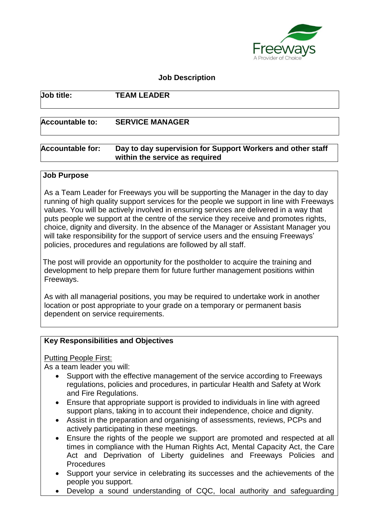

#### **Job Description**

### **Job title: TEAM LEADER**

#### **Accountable to: SERVICE MANAGER**

#### **Accountable for: Day to day supervision for Support Workers and other staff within the service as required**

#### **Job Purpose**

As a Team Leader for Freeways you will be supporting the Manager in the day to day running of high quality support services for the people we support in line with Freeways values. You will be actively involved in ensuring services are delivered in a way that puts people we support at the centre of the service they receive and promotes rights, choice, dignity and diversity. In the absence of the Manager or Assistant Manager you will take responsibility for the support of service users and the ensuing Freeways' policies, procedures and regulations are followed by all staff.

The post will provide an opportunity for the postholder to acquire the training and development to help prepare them for future further management positions within Freeways.

As with all managerial positions, you may be required to undertake work in another location or post appropriate to your grade on a temporary or permanent basis dependent on service requirements.

#### **Key Responsibilities and Objectives**

Putting People First:

As a team leader you will:

- Support with the effective management of the service according to Freeways regulations, policies and procedures, in particular Health and Safety at Work and Fire Regulations.
- Ensure that appropriate support is provided to individuals in line with agreed support plans, taking in to account their independence, choice and dignity.
- Assist in the preparation and organising of assessments, reviews, PCPs and actively participating in these meetings.
- Ensure the rights of the people we support are promoted and respected at all times in compliance with the Human Rights Act, Mental Capacity Act, the Care Act and Deprivation of Liberty guidelines and Freeways Policies and Procedures
- Support your service in celebrating its successes and the achievements of the people you support.
- Develop a sound understanding of CQC, local authority and safeguarding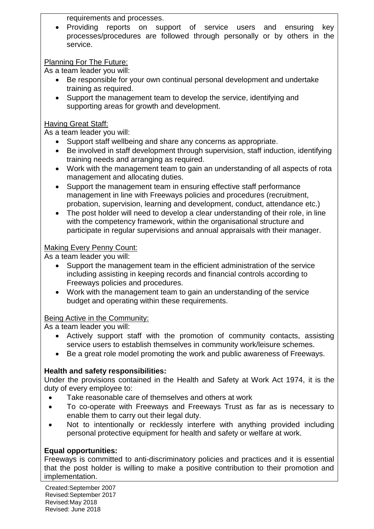requirements and processes.

 Providing reports on support of service users and ensuring key processes/procedures are followed through personally or by others in the service.

# Planning For The Future:

As a team leader you will:

- Be responsible for your own continual personal development and undertake training as required.
- Support the management team to develop the service, identifying and supporting areas for growth and development.

### Having Great Staff:

As a team leader you will:

- Support staff wellbeing and share any concerns as appropriate.
- Be involved in staff development through supervision, staff induction, identifying training needs and arranging as required.
- Work with the management team to gain an understanding of all aspects of rota management and allocating duties.
- Support the management team in ensuring effective staff performance management in line with Freeways policies and procedures (recruitment, probation, supervision, learning and development, conduct, attendance etc.)
- The post holder will need to develop a clear understanding of their role, in line with the competency framework, within the organisational structure and participate in regular supervisions and annual appraisals with their manager.

# Making Every Penny Count:

As a team leader you will:

- Support the management team in the efficient administration of the service including assisting in keeping records and financial controls according to Freeways policies and procedures.
- Work with the management team to gain an understanding of the service budget and operating within these requirements.

# Being Active in the Community:

As a team leader you will:

- Actively support staff with the promotion of community contacts, assisting service users to establish themselves in community work/leisure schemes.
- Be a great role model promoting the work and public awareness of Freeways.

# **Health and safety responsibilities:**

Under the provisions contained in the Health and Safety at Work Act 1974, it is the duty of every employee to:

- Take reasonable care of themselves and others at work
- To co-operate with Freeways and Freeways Trust as far as is necessary to enable them to carry out their legal duty.
- Not to intentionally or recklessly interfere with anything provided including personal protective equipment for health and safety or welfare at work.

# **Equal opportunities:**

Freeways is committed to anti-discriminatory policies and practices and it is essential that the post holder is willing to make a positive contribution to their promotion and implementation.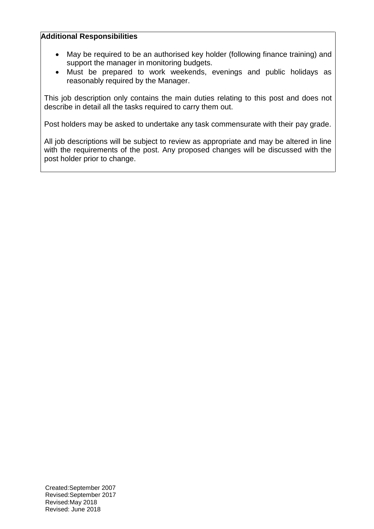#### **Additional Responsibilities**

- May be required to be an authorised key holder (following finance training) and support the manager in monitoring budgets.
- Must be prepared to work weekends, evenings and public holidays as reasonably required by the Manager.

This job description only contains the main duties relating to this post and does not describe in detail all the tasks required to carry them out.

Post holders may be asked to undertake any task commensurate with their pay grade.

All job descriptions will be subject to review as appropriate and may be altered in line with the requirements of the post. Any proposed changes will be discussed with the post holder prior to change.